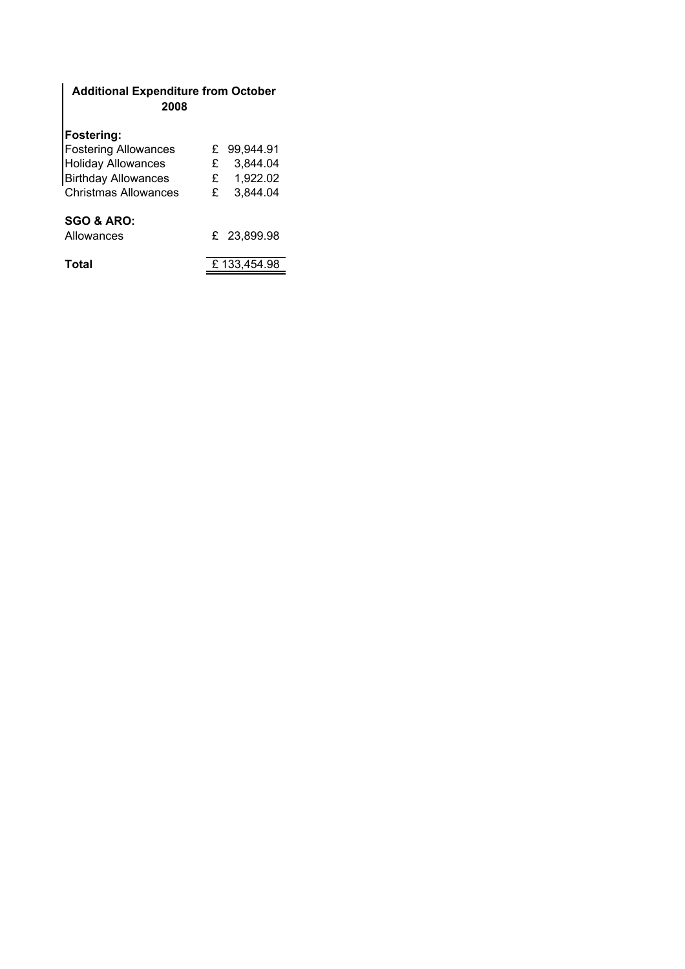## Additional Expenditure from October 2008

## Fostering:

| <b>Fostering Allowances</b> | £ | 99,944.91   |
|-----------------------------|---|-------------|
| <b>Holiday Allowances</b>   | £ | 3,844.04    |
| <b>Birthday Allowances</b>  | £ | 1,922.02    |
| <b>Christmas Allowances</b> | £ | 3,844.04    |
|                             |   |             |
| <b>SGO &amp; ARO:</b>       |   |             |
| Allowances                  |   | £ 23,899.98 |
|                             |   |             |
| Total                       |   | £133,454.98 |
|                             |   |             |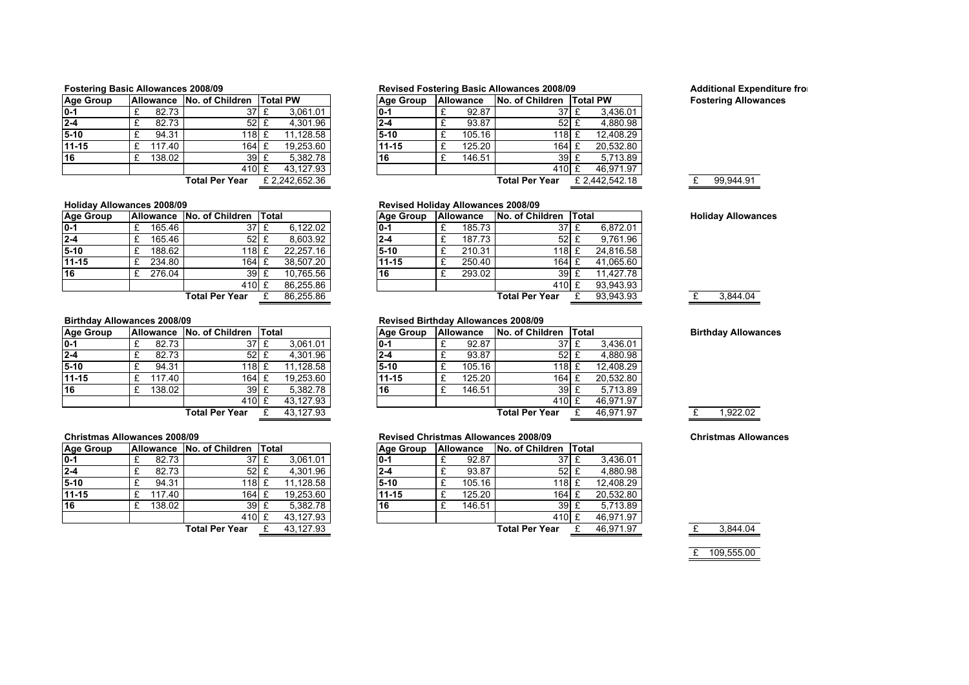| <b>Age Group</b> |   | <b>Allowance</b> | No. of Children       |   | <b>Total PW</b> |
|------------------|---|------------------|-----------------------|---|-----------------|
| $0 - 1$          | £ | 82.73            | 37 <sup>1</sup>       | £ | 3,061.01        |
| $2 - 4$          | £ | 82.73            | $52 \text{ }$ £       |   | 4,301.96        |
| 5-10             | £ | 94.31            | 118 £                 |   | 11.128.58       |
| 11-15            | £ | 117.40           | 164                   | £ | 19.253.60       |
| 16               | £ | 138.02           | 39                    | £ | 5,382.78        |
|                  |   |                  | 410                   | F | 43.127.93       |
|                  |   |                  | <b>Total Per Year</b> |   | £2.242.652.36   |

### Holiday Allowances 2008/09

| <b>Age Group</b> |        | Allowance No. of Children Total |           | <b>Aae Group</b> | <b>Allowance</b> | No. of Children Total |           |
|------------------|--------|---------------------------------|-----------|------------------|------------------|-----------------------|-----------|
| $ 0-1 $          | 165.46 | 37 £                            | 6,122.02  | $0 - 1$          | 185.73           | 37 £                  | 6.872.01  |
| $2 - 4$          | 165.46 | $52 \text{ E}$                  | 8,603.92  | $2 - 4$          | 187.73           | $52 \text{ } f$       | 9.761.96  |
| $5-10$           | 188.62 | 118 £                           | 22.257.16 | $5-10$           | 210.31           | 118 E                 | 24,816.58 |
| 11-15            | 234.80 | 164 £                           | 38.507.20 | 11-15            | 250.40           | 164 £                 | 41,065.60 |
| 16               | 276.04 | 39 E                            | 10.765.56 | 16               | 293.02           | 39                    | 11.427.78 |
|                  |        | 410 £                           | 86,255.86 |                  |                  | 410 £                 | 93,943.93 |
|                  |        | <b>Total Per Year</b>           | 86,255.86 |                  |                  | <b>Total Per Year</b> | 93,943.93 |

### Birthday Allowances 2008/09

| <b>Age Group</b> | <b>Allowance</b> | No. of Children       | Total |           | Aae Group | <b>Allowance</b> | No. of Children  | <b>Total</b> |           | <b>Birthday Allowances</b> |
|------------------|------------------|-----------------------|-------|-----------|-----------|------------------|------------------|--------------|-----------|----------------------------|
| $0-1$            | 82.73            | 37E                   |       | 3.061.01  | IO-1      | 92.87            | $37 \frac{1}{2}$ |              | 3.436.01  |                            |
| $2 - 4$          | 82.73            | 52 E                  |       | 4.301.96  | I2-4      | 93.87            | 52               |              | 4.880.98  |                            |
| $5-10$           | 94.31            | 118 E                 |       | 11,128.58 | $5-10$    | 105.16           | 118 L            |              | 12.408.29 |                            |
| $11 - 15$        | 117.40           | 164 £                 |       | 19.253.60 | 11-15     | 125.20           | $164 \pm$        |              | 20.532.80 |                            |
| 16               | 138.02           | 39 E                  |       | 5.382.78  | 16        | 146.51           | 39 <sub>1</sub>  |              | 5.713.89  |                            |
|                  |                  | 410 £                 |       | 43.127.93 |           |                  | 410 £            |              | 46.971.97 |                            |
|                  |                  | <b>Total Per Year</b> |       | 43.127.93 |           |                  | Total Per Year   |              | 46,971.97 | 1,922.02                   |

### Christmas Allowances 2008/09

| <b>Age Group</b> | <b>Allowance</b> | No. of Children       | Total |           | Age Group | <b>Allowance</b> | No. of Children       | <b>Total</b> |           |
|------------------|------------------|-----------------------|-------|-----------|-----------|------------------|-----------------------|--------------|-----------|
| $0-1$            | 82.73            | $37 \text{ E}$        |       | 3,061.01  | $0 - 1$   | 92.87            | 37 <sub>l</sub>       |              | 3.436.01  |
| $2 - 4$          | 82.73            | $52 \text{ f}$        |       | 4.301.96  | $2 - 4$   | 93.87            | $52 \text{ } f$       |              | 4.880.98  |
| $5-10$           | 94.31            | 118 E                 |       | 11,128.58 | $5-10$    | 105.16           | 118 £                 |              | 12,408.29 |
| $11 - 15$        | 117.40           | 164 £                 |       | 19,253.60 | $11 - 15$ | 125.20           | 164 £                 |              | 20,532.80 |
| 16               | 138.02           | 39E                   |       | 5.382.78  | 16        | 146.51           | 39 £                  |              | 5,713.89  |
|                  |                  | 410 £                 |       | 43,127.93 |           |                  | 410 £                 |              | 46,971.97 |
|                  |                  | <b>Total Per Year</b> |       | 43,127.93 |           |                  | <b>Total Per Year</b> |              | 46,971.97 |

### Fostering Basic Allowances 2008/09 **Revised Fostering Basic Allowances 2008/09** Additional Expenditure from October 2008/09

Revised Holiday Allowances 2008/09<br>Age Group | Allowance | No. of Children | Total

Revised Birthday Allowances 2008/09<br>Age Group | Allowance | No. of Children | Total

| ge Group |        | <b>Allowance No. of Children Total PW</b> |               | <b>Aae Group</b> | <b>Allowance</b> | No. of Children       | <b>Total PW</b> |  | <b>Fostering Allo</b> |
|----------|--------|-------------------------------------------|---------------|------------------|------------------|-----------------------|-----------------|--|-----------------------|
|          | 82.73  | 37 I                                      | 3.061.01      | $10-1$           | 92.87            | 37 I                  | 3.436.01        |  |                       |
| -4       | 82.73  | $52 \text{ F}$                            | 4.301.96      | 2-4              | 93.87            | 52:                   | 4.880.98        |  |                       |
| -10      | 94.31  | 118 £                                     | 11.128.58     | $5-10$           | 105.16           | 118 £                 | 12.408.29       |  |                       |
| $1 - 15$ | 117.40 | 164 £                                     | 19,253.60     | 11-15            | 125.20           | $164 \text{ } f$      | 20.532.80       |  |                       |
|          | 138.02 | 39 E                                      | 5.382.78      | 16               | 146.51           | 39E                   | 5.713.89        |  |                       |
|          |        | 410 £                                     | 43.127.93     |                  |                  | 410 £                 | 46.971.97       |  |                       |
|          |        | Total Per Year                            | £2.242.652.36 |                  |                  | <b>Total Per Year</b> | £ 2.442.542.18  |  | 99.944.91             |
|          |        |                                           |               |                  |                  |                       |                 |  |                       |

# Fostering Allowances

Age Group Allowance No. of Children Total Holiday Allowances<br>0-1  $\mathbb{E}$  185.73  $\frac{37 \mathbb{E}}{6.872.01}$  Holiday Allowances

<u>6 Total Per Year £ 93,943.93 £ 3,844.04</u>

Revised Christmas Allowances 2008/09 Christmas Allowances

# Age Group Allowance No. of Children Total 0-1  $\mathbb{E}$  92.87  $\mathbb{E}$  37  $\mathbb{E}$

|          |                     | <b>Total Per Year</b> | 43.127.93 |         |        | <b>Total Per Year</b> | 46.971.97 |  | 3.844.04 |
|----------|---------------------|-----------------------|-----------|---------|--------|-----------------------|-----------|--|----------|
|          |                     | 410 £                 | 43.127.93 |         |        | $410$ £               | 46.971.97 |  |          |
|          | 138.02 <sub>1</sub> | 39                    | 5.382.78  | 16      | 146.51 | 39 £                  | 5.713.89  |  |          |
| $1 - 15$ | 117.40              | $164 \pm$             | 19,253.60 | 11-15   | 125.20 | 164 £                 | 20.532.80 |  |          |
| -10      | 94.31               | 118L                  | 11.128.58 | $15-10$ | 105.16 | 118 £                 | 12.408.29 |  |          |
| -4       | 82.73               | 52 <sub>1</sub>       | 4.301.96  | $2 - 4$ | 93.87  | 52 £                  | 4.880.98  |  |          |
|          |                     |                       |           |         |        |                       |           |  |          |

£ 109,555.00